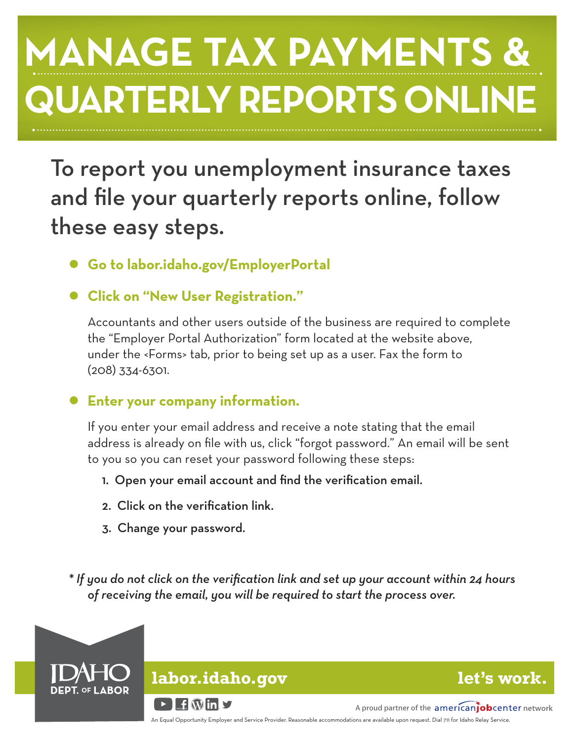# **MANAGE TAX PAYMENTS & QUARTERLY REPORTS ONLINE**

To report you unemployment insurance taxes and file your quarterly reports online, follow these easy steps.

- **● Go to labor.idaho.gov/EmployerPortal**
- **● Click on "New User Registration."**

 Accountants and other users outside of the business are required to complete the "Employer Portal Authorization" form located at the website above, under the <Forms> tab, prior to being set up as a user. Fax the form to (208) 334-6301.

# **● Enter your company information.**

If you enter your email address and receive a note stating that the email address is already on file with us, click "forgot password." An email will be sent to you so you can reset your password following these steps:

- 1. Open your email account and find the verification email.
- 2. Click on the verification link.
- 3. Change your password.

*\* If you do not click on the verification link and set up your account within 24 hours of receiving the email, you will be required to start the process over.*



# **labor.idaho.gov**

**let's work.**